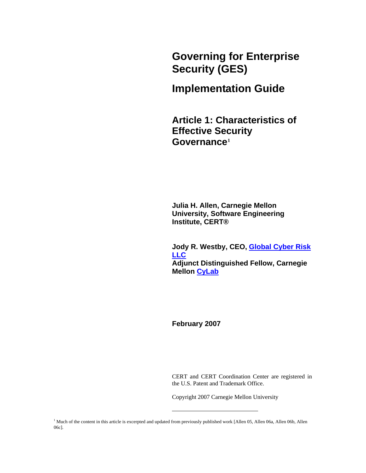**Governing for Enterprise Security (GES)** 

# **Implementation Guide**

**Article 1: Characteristics of Effective Security Governance[1](#page-0-0)** 

**Julia H. Allen, Carnegie Mellon University, Software Engineering Institute, CERT®** 

**Jody R. Westby, CEO, [Global Cyber Risk](http://www.globalcyberrisk.com/)  [LLC](http://www.globalcyberrisk.com/) Adjunct Distinguished Fellow, Carnegie Mellon [CyLab](http://www.cylab.cmu.edu/)**

**February 2007**

CERT and CERT Coordination Center are registered in the U.S. Patent and Trademark Office.

Copyright 2007 Carnegie Mellon University

<span id="page-0-0"></span><sup>1</sup> Much of the content in this article is excerpted and updated from previously published work [Allen 05, Allen 06a, Allen 06b, Allen 06c].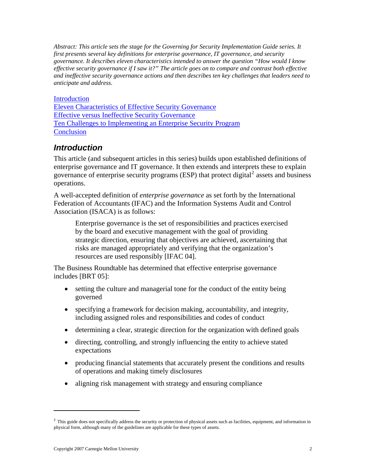<span id="page-1-0"></span>*Abstract: This article sets the stage for the Governing for Security Implementation Guide series. It first presents several key definitions for enterprise governance, IT governance, and security governance. It describes eleven characteristics intended to answer the question "How would I know effective security governance if I saw it?" The article goes on to compare and contrast both effective and ineffective security governance actions and then describes ten key challenges that leaders need to anticipate and address.* 

#### [Introduction](#page-1-0)

[Eleven Characteristics of Effective Security Governance](#page-3-0) [Effective versus Ineffective Security Governance](#page-7-0) [Ten Challenges to Implementing an Enterprise Security Program](#page-10-0) **[Conclusion](#page-16-0)** 

### *Introduction*

This article (and subsequent articles in this series) builds upon established definitions of enterprise governance and IT governance. It then extends and interprets these to explain governance of enterprise security programs (ESP) that protect digital<sup>[2](#page-1-1)</sup> assets and business operations.

A well-accepted definition of *enterprise governance* as set forth by the International Federation of Accountants (IFAC) and the Information Systems Audit and Control Association (ISACA) is as follows:

Enterprise governance is the set of responsibilities and practices exercised by the board and executive management with the goal of providing strategic direction, ensuring that objectives are achieved, ascertaining that risks are managed appropriately and verifying that the organization's resources are used responsibly [IFAC 04].

The Business Roundtable has determined that effective enterprise governance includes [BRT 05]:

- setting the culture and managerial tone for the conduct of the entity being governed
- specifying a framework for decision making, accountability, and integrity, including assigned roles and responsibilities and codes of conduct
- determining a clear, strategic direction for the organization with defined goals
- directing, controlling, and strongly influencing the entity to achieve stated expectations
- producing financial statements that accurately present the conditions and results of operations and making timely disclosures
- aligning risk management with strategy and ensuring compliance

<span id="page-1-1"></span> $<sup>2</sup>$  This guide does not specifically address the security or protection of physical assets such as facilities, equipment, and information in</sup> physical form, although many of the guidelines are applicable for these types of assets.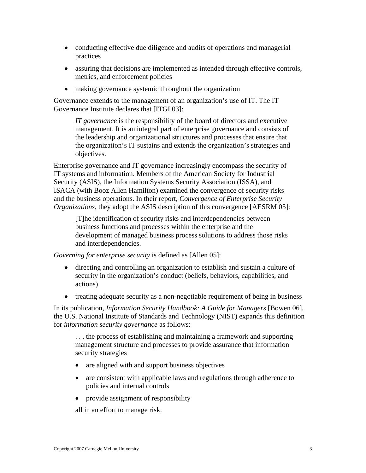- conducting effective due diligence and audits of operations and managerial practices
- assuring that decisions are implemented as intended through effective controls, metrics, and enforcement policies
- making governance systemic throughout the organization

Governance extends to the management of an organization's use of IT. The IT Governance Institute declares that [ITGI 03]:

*IT governance* is the responsibility of the board of directors and executive management. It is an integral part of enterprise governance and consists of the leadership and organizational structures and processes that ensure that the organization's IT sustains and extends the organization's strategies and objectives.

Enterprise governance and IT governance increasingly encompass the security of IT systems and information. Members of the American Society for Industrial Security (ASIS), the Information Systems Security Association (ISSA), and ISACA (with Booz Allen Hamilton) examined the convergence of security risks and the business operations. In their report, *Convergence of Enterprise Security Organizations, they adopt the ASIS description of this convergence [AESRM 05]:* 

[T]he identification of security risks and interdependencies between business functions and processes within the enterprise and the development of managed business process solutions to address those risks and interdependencies.

*Governing for enterprise security* is defined as [Allen 05]:

- directing and controlling an organization to establish and sustain a culture of security in the organization's conduct (beliefs, behaviors, capabilities, and actions)
- treating adequate security as a non-negotiable requirement of being in business

In its publication, *Information Security Handbook: A Guide for Managers* [Bowen 06], the U.S. National Institute of Standards and Technology (NIST) expands this definition for *information security governance* as follows:

. . . the process of establishing and maintaining a framework and supporting management structure and processes to provide assurance that information security strategies

- are aligned with and support business objectives
- are consistent with applicable laws and regulations through adherence to policies and internal controls
- provide assignment of responsibility

all in an effort to manage risk.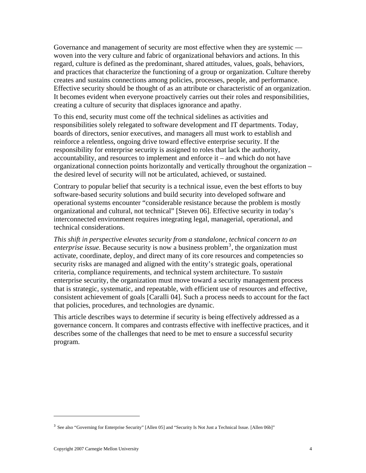<span id="page-3-0"></span>Governance and management of security are most effective when they are systemic woven into the very culture and fabric of organizational behaviors and actions. In this regard, culture is defined as the predominant, shared attitudes, values, goals, behaviors, and practices that characterize the functioning of a group or organization. Culture thereby creates and sustains connections among policies, processes, people, and performance. Effective security should be thought of as an attribute or characteristic of an organization. It becomes evident when everyone proactively carries out their roles and responsibilities, creating a culture of security that displaces ignorance and apathy.

To this end, security must come off the technical sidelines as activities and responsibilities solely relegated to software development and IT departments. Today, boards of directors, senior executives, and managers all must work to establish and reinforce a relentless, ongoing drive toward effective enterprise security. If the responsibility for enterprise security is assigned to roles that lack the authority, accountability, and resources to implement and enforce it – and which do not have organizational connection points horizontally and vertically throughout the organization – the desired level of security will not be articulated, achieved, or sustained.

Contrary to popular belief that security is a technical issue, even the best efforts to buy software-based security solutions and build security into developed software and operational systems encounter "considerable resistance because the problem is mostly organizational and cultural, not technical" [Steven 06]. Effective security in today's interconnected environment requires integrating legal, managerial, operational, and technical considerations.

*This shift in perspective elevates security from a standalone, technical concern to an*  enterprise issue. Because security is now a business problem<sup>[3](#page-3-1)</sup>, the organization must activate, coordinate, deploy, and direct many of its core resources and competencies so security risks are managed and aligned with the entity's strategic goals, operational criteria, compliance requirements, and technical system architecture. To *sustain* enterprise security, the organization must move toward a security management process that is strategic, systematic, and repeatable, with efficient use of resources and effective, consistent achievement of goals [Caralli 04]. Such a process needs to account for the fact that policies, procedures, and technologies are dynamic.

This article describes ways to determine if security is being effectively addressed as a governance concern. It compares and contrasts effective with ineffective practices, and it describes some of the challenges that need to be met to ensure a successful security program.

<span id="page-3-1"></span><sup>&</sup>lt;sup>3</sup> See also "Governing for Enterprise Security" [Allen 05] and "[Security Is Not Just a Technical Issue](https://buildsecurityin.us-cert.gov/daisy/bsi/articles/best-practices/management/563.html). [Allen 06b]"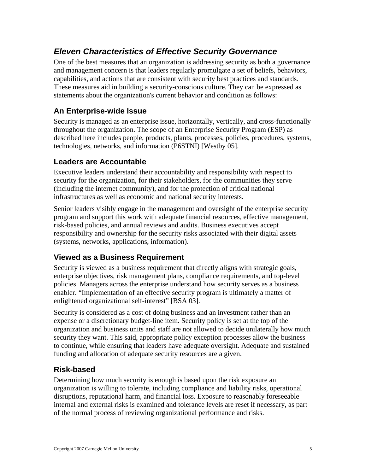# *Eleven Characteristics of Effective Security Governance*

One of the best measures that an organization is addressing security as both a governance and management concern is that leaders regularly promulgate a set of beliefs, behaviors, capabilities, and actions that are consistent with security best practices and standards. These measures aid in building a security-conscious culture. They can be expressed as statements about the organization's current behavior and condition as follows:

### **An Enterprise-wide Issue**

Security is managed as an enterprise issue, horizontally, vertically, and cross-functionally throughout the organization. The scope of an Enterprise Security Program (ESP) as described here includes people, products, plants, processes, policies, procedures, systems, technologies, networks, and information (P6STNI) [Westby 05].

#### **Leaders are Accountable**

Executive leaders understand their accountability and responsibility with respect to security for the organization, for their stakeholders, for the communities they serve (including the internet community), and for the protection of critical national infrastructures as well as economic and national security interests.

Senior leaders visibly engage in the management and oversight of the enterprise security program and support this work with adequate financial resources, effective management, risk-based policies, and annual reviews and audits. Business executives accept responsibility and ownership for the security risks associated with their digital assets (systems, networks, applications, information).

#### **Viewed as a Business Requirement**

Security is viewed as a business requirement that directly aligns with strategic goals, enterprise objectives, risk management plans, compliance requirements, and top-level policies. Managers across the enterprise understand how security serves as a business enabler. "Implementation of an effective security program is ultimately a matter of enlightened organizational self-interest" [BSA 03].

Security is considered as a cost of doing business and an investment rather than an expense or a discretionary budget-line item. Security policy is set at the top of the organization and business units and staff are not allowed to decide unilaterally how much security they want. This said, appropriate policy exception processes allow the business to continue, while ensuring that leaders have adequate oversight. Adequate and sustained funding and allocation of adequate security resources are a given.

### **Risk-based**

Determining how much security is enough is based upon the risk exposure an organization is willing to tolerate, including compliance and liability risks, operational disruptions, reputational harm, and financial loss. Exposure to reasonably foreseeable internal and external risks is examined and tolerance levels are reset if necessary, as part of the normal process of reviewing organizational performance and risks.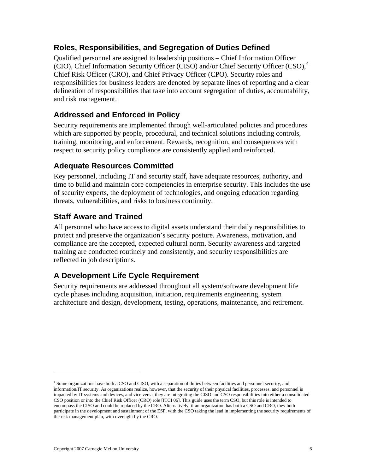### **Roles, Responsibilities, and Segregation of Duties Defined**

Qualified personnel are assigned to leadership positions – Chief Information Officer (CIO), Chief Information Security Officer (CISO) and/or Chief Security Officer (CSO), $4$ Chief Risk Officer (CRO), and Chief Privacy Officer (CPO). Security roles and responsibilities for business leaders are denoted by separate lines of reporting and a clear delineation of responsibilities that take into account segregation of duties, accountability, and risk management.

### **Addressed and Enforced in Policy**

Security requirements are implemented through well-articulated policies and procedures which are supported by people, procedural, and technical solutions including controls, training, monitoring, and enforcement. Rewards, recognition, and consequences with respect to security policy compliance are consistently applied and reinforced.

### **Adequate Resources Committed**

Key personnel, including IT and security staff, have adequate resources, authority, and time to build and maintain core competencies in enterprise security. This includes the use of security experts, the deployment of technologies, and ongoing education regarding threats, vulnerabilities, and risks to business continuity.

### **Staff Aware and Trained**

All personnel who have access to digital assets understand their daily responsibilities to protect and preserve the organization's security posture. Awareness, motivation, and compliance are the accepted, expected cultural norm. Security awareness and targeted training are conducted routinely and consistently, and security responsibilities are reflected in job descriptions.

### **A Development Life Cycle Requirement**

Security requirements are addressed throughout all system/software development life cycle phases including acquisition, initiation, requirements engineering, system architecture and design, development, testing, operations, maintenance, and retirement.

<span id="page-5-0"></span><sup>4</sup> Some organizations have both a CSO and CISO, with a separation of duties between facilities and personnel security, and information/IT security. As organizations realize, however, that the security of their physical facilities, processes, and personnel is impacted by IT systems and devices, and vice versa, they are integrating the CISO and CSO responsibilities into either a consolidated CSO position or into the Chief Risk Officer (CRO) role [ITCI 06]. This guide uses the term CSO, but this role is intended to encompass the CISO and could be replaced by the CRO. Alternatively, if an organization has both a CSO and CRO, they both participate in the development and sustainment of the ESP, with the CSO taking the lead in implementing the security requirements of the risk management plan, with oversight by the CRO.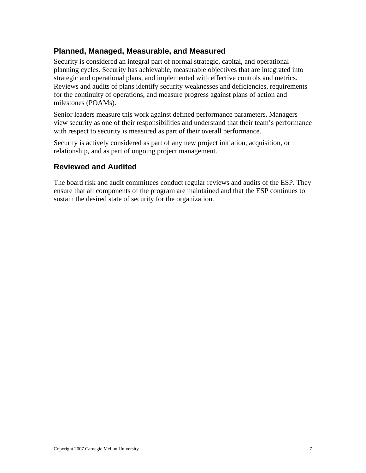### **Planned, Managed, Measurable, and Measured**

Security is considered an integral part of normal strategic, capital, and operational planning cycles. Security has achievable, measurable objectives that are integrated into strategic and operational plans, and implemented with effective controls and metrics. Reviews and audits of plans identify security weaknesses and deficiencies, requirements for the continuity of operations, and measure progress against plans of action and milestones (POAMs).

Senior leaders measure this work against defined performance parameters. Managers view security as one of their responsibilities and understand that their team's performance with respect to security is measured as part of their overall performance.

Security is actively considered as part of any new project initiation, acquisition, or relationship, and as part of ongoing project management.

### **Reviewed and Audited**

The board risk and audit committees conduct regular reviews and audits of the ESP. They ensure that all components of the program are maintained and that the ESP continues to sustain the desired state of security for the organization.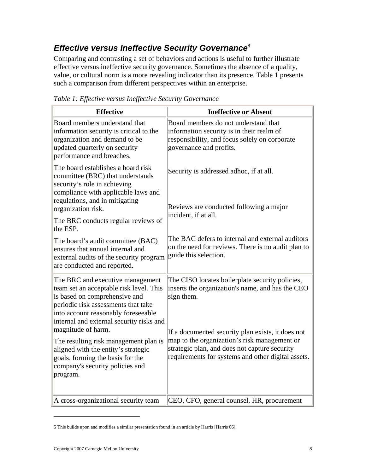# <span id="page-7-0"></span>*Effective versus Ineffective Security Governance[5](#page-7-1)*

Comparing and contrasting a set of behaviors and actions is useful to further illustrate effective versus ineffective security governance. Sometimes the absence of a quality, value, or cultural norm is a more revealing indicator than its presence. Table 1 presents such a comparison from different perspectives within an enterprise.

| <b>Effective</b>                                                                                                                                                                                                                                             | <b>Ineffective or Absent</b>                                                                                                                                                                      |
|--------------------------------------------------------------------------------------------------------------------------------------------------------------------------------------------------------------------------------------------------------------|---------------------------------------------------------------------------------------------------------------------------------------------------------------------------------------------------|
| Board members understand that<br>information security is critical to the<br>organization and demand to be<br>updated quarterly on security<br>performance and breaches.                                                                                      | Board members do not understand that<br>information security is in their realm of<br>responsibility, and focus solely on corporate<br>governance and profits.                                     |
| The board establishes a board risk<br>committee (BRC) that understands<br>security's role in achieving<br>compliance with applicable laws and<br>regulations, and in mitigating<br>organization risk.<br>The BRC conducts regular reviews of<br>the ESP.     | Security is addressed adhoc, if at all.<br>Reviews are conducted following a major<br>incident, if at all.                                                                                        |
| The board's audit committee (BAC)<br>ensures that annual internal and<br>external audits of the security program<br>are conducted and reported.                                                                                                              | The BAC defers to internal and external auditors<br>on the need for reviews. There is no audit plan to<br>guide this selection.                                                                   |
| The BRC and executive management<br>team set an acceptable risk level. This<br>is based on comprehensive and<br>periodic risk assessments that take<br>into account reasonably foreseeable<br>internal and external security risks and<br>magnitude of harm. | The CISO locates boilerplate security policies,<br>inserts the organization's name, and has the CEO<br>sign them.<br>If a documented security plan exists, it does not                            |
| The resulting risk management plan is<br>aligned with the entity's strategic<br>goals, forming the basis for the<br>company's security policies and<br>program.<br>A cross-organizational security team                                                      | map to the organization's risk management or<br>strategic plan, and does not capture security<br>requirements for systems and other digital assets.<br>CEO, CFO, general counsel, HR, procurement |

*Table 1: Effective versus Ineffective Security Governance* 

<span id="page-7-1"></span><sup>5</sup> This builds upon and modifies a similar presentation found in an article by Harris [Harris 06].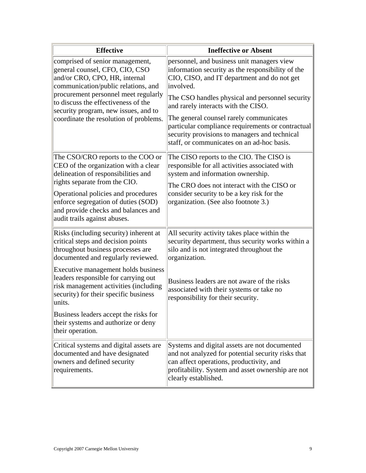| <b>Effective</b>                                                                                                                                                                                                                                                                                                                                                                                                                       | <b>Ineffective or Absent</b>                                                                                                                                                                                                                                                                                                                                                                                                                         |
|----------------------------------------------------------------------------------------------------------------------------------------------------------------------------------------------------------------------------------------------------------------------------------------------------------------------------------------------------------------------------------------------------------------------------------------|------------------------------------------------------------------------------------------------------------------------------------------------------------------------------------------------------------------------------------------------------------------------------------------------------------------------------------------------------------------------------------------------------------------------------------------------------|
| comprised of senior management,<br>general counsel, CFO, CIO, CSO<br>and/or CRO, CPO, HR, internal<br>communication/public relations, and<br>procurement personnel meet regularly<br>to discuss the effectiveness of the<br>security program, new issues, and to<br>coordinate the resolution of problems.                                                                                                                             | personnel, and business unit managers view<br>information security as the responsibility of the<br>CIO, CISO, and IT department and do not get<br>involved.<br>The CSO handles physical and personnel security<br>and rarely interacts with the CISO.<br>The general counsel rarely communicates<br>particular compliance requirements or contractual<br>security provisions to managers and technical<br>staff, or communicates on an ad-hoc basis. |
| The CSO/CRO reports to the COO or<br>CEO of the organization with a clear<br>delineation of responsibilities and<br>rights separate from the CIO.<br>Operational policies and procedures<br>enforce segregation of duties (SOD)<br>and provide checks and balances and<br>audit trails against abuses.                                                                                                                                 | The CISO reports to the CIO. The CISO is<br>responsible for all activities associated with<br>system and information ownership.<br>The CRO does not interact with the CISO or<br>consider security to be a key risk for the<br>organization. (See also footnote 3.)                                                                                                                                                                                  |
| Risks (including security) inherent at<br>critical steps and decision points<br>throughout business processes are<br>documented and regularly reviewed.<br>Executive management holds business<br>leaders responsible for carrying out<br>risk management activities (including<br>security) for their specific business<br>units.<br>Business leaders accept the risks for<br>their systems and authorize or deny<br>their operation. | All security activity takes place within the<br>security department, thus security works within a<br>silo and is not integrated throughout the<br>organization.<br>Business leaders are not aware of the risks<br>associated with their systems or take no<br>responsibility for their security.                                                                                                                                                     |
| Critical systems and digital assets are<br>documented and have designated<br>owners and defined security<br>requirements.                                                                                                                                                                                                                                                                                                              | Systems and digital assets are not documented<br>and not analyzed for potential security risks that<br>can affect operations, productivity, and<br>profitability. System and asset ownership are not<br>clearly established.                                                                                                                                                                                                                         |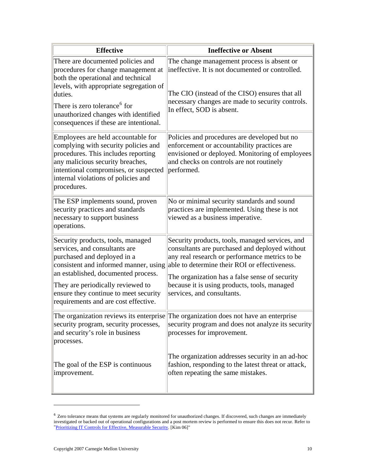| <b>Effective</b>                                                                                                                                                                                                                                                                                        | <b>Ineffective or Absent</b>                                                                                                                                                                                                                                                                                                         |
|---------------------------------------------------------------------------------------------------------------------------------------------------------------------------------------------------------------------------------------------------------------------------------------------------------|--------------------------------------------------------------------------------------------------------------------------------------------------------------------------------------------------------------------------------------------------------------------------------------------------------------------------------------|
| There are documented policies and<br>procedures for change management at<br>both the operational and technical<br>levels, with appropriate segregation of<br>duties.<br>There is zero tolerance <sup>6</sup> for<br>unauthorized changes with identified<br>consequences if these are intentional.      | The change management process is absent or<br>ineffective. It is not documented or controlled.<br>The CIO (instead of the CISO) ensures that all<br>necessary changes are made to security controls.<br>In effect, SOD is absent.                                                                                                    |
| Employees are held accountable for<br>complying with security policies and<br>procedures. This includes reporting<br>any malicious security breaches,<br>intentional compromises, or suspected<br>internal violations of policies and<br>procedures.                                                    | Policies and procedures are developed but no<br>enforcement or accountability practices are<br>envisioned or deployed. Monitoring of employees<br>and checks on controls are not routinely<br>performed.                                                                                                                             |
| The ESP implements sound, proven<br>security practices and standards<br>necessary to support business<br>operations.                                                                                                                                                                                    | No or minimal security standards and sound<br>practices are implemented. Using these is not<br>viewed as a business imperative.                                                                                                                                                                                                      |
| Security products, tools, managed<br>services, and consultants are<br>purchased and deployed in a<br>consistent and informed manner, using<br>an established, documented process.<br>They are periodically reviewed to<br>ensure they continue to meet security<br>requirements and are cost effective. | Security products, tools, managed services, and<br>consultants are purchased and deployed without<br>any real research or performance metrics to be<br>able to determine their ROI or effectiveness.<br>The organization has a false sense of security<br>because it is using products, tools, managed<br>services, and consultants. |
| The organization reviews its enterprise<br>security program, security processes,<br>and security's role in business<br>processes.                                                                                                                                                                       | The organization does not have an enterprise<br>security program and does not analyze its security<br>processes for improvement.                                                                                                                                                                                                     |
| The goal of the ESP is continuous<br>improvement.                                                                                                                                                                                                                                                       | The organization addresses security in an ad-hoc<br>fashion, responding to the latest threat or attack,<br>often repeating the same mistakes.                                                                                                                                                                                        |

<span id="page-9-0"></span> $6$  Zero tolerance means that systems are regularly monitored for unauthorized changes. If discovered, such changes are immediately investigated or backed out of operational configurations and a post mortem review is performed to ensure this does not recur. Refer to ["Prioritizing IT Controls for Effective, Measurable Security](https://buildsecurityin.us-cert.gov/daisy/bsi/articles/best-practices/deployment/577.html). [Kim 06]"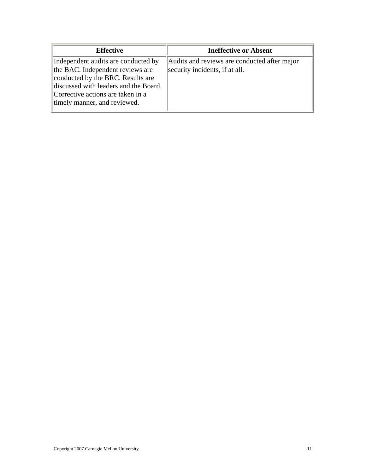<span id="page-10-0"></span>

| <b>Effective</b>                                                                                                                                                                                                           | <b>Ineffective or Absent</b>                                                   |
|----------------------------------------------------------------------------------------------------------------------------------------------------------------------------------------------------------------------------|--------------------------------------------------------------------------------|
| Independent audits are conducted by<br>the BAC. Independent reviews are<br>conducted by the BRC. Results are<br>discussed with leaders and the Board.<br>Corrective actions are taken in a<br>timely manner, and reviewed. | Audits and reviews are conducted after major<br>security incidents, if at all. |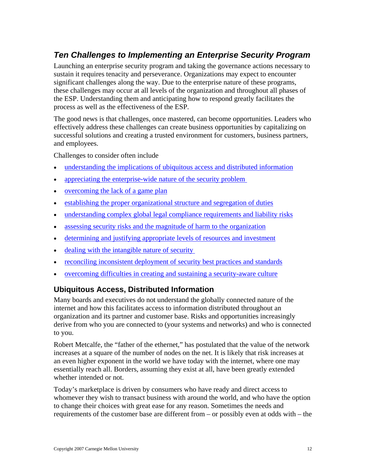# <span id="page-11-0"></span>*Ten Challenges to Implementing an Enterprise Security Program*

Launching an enterprise security program and taking the governance actions necessary to sustain it requires tenacity and perseverance. Organizations may expect to encounter significant challenges along the way. Due to the enterprise nature of these programs, these challenges may occur at all levels of the organization and throughout all phases of the ESP. Understanding them and anticipating how to respond greatly facilitates the process as well as the effectiveness of the ESP.

The good news is that challenges, once mastered, can become opportunities. Leaders who effectively address these challenges can create business opportunities by capitalizing on successful solutions and creating a trusted environment for customers, business partners, and employees.

Challenges to consider often include

- [understanding the implications of ubiquitous access and distributed information](#page-11-0)
- [appreciating the enterprise-wide nature of the security problem](#page-12-0)
- [overcoming the lack of a game plan](#page-12-0)
- [establishing the proper organizational structure and segregation of duties](#page-12-0)
- [understanding complex global legal compliance requirements and liability risks](#page-13-0)
- [assessing security risks and the magnitude of harm to the organization](#page-13-0)
- [determining and justifying appropriate levels of resources and investment](#page-13-0)
- dealing with the intangible nature of security
- [reconciling inconsistent deployment of security best practices and standards](#page-14-0)
- [overcoming difficulties in creating and sustaining a security-aware culture](#page-15-0)

### **Ubiquitous Access, Distributed Information**

Many boards and executives do not understand the globally connected nature of the internet and how this facilitates access to information distributed throughout an organization and its partner and customer base. Risks and opportunities increasingly derive from who you are connected to (your systems and networks) and who is connected to you.

Robert Metcalfe, the "father of the ethernet," has postulated that the value of the network increases at a square of the number of nodes on the net. It is likely that risk increases at an even higher exponent in the world we have today with the internet, where one may essentially reach all. Borders, assuming they exist at all, have been greatly extended whether intended or not.

Today's marketplace is driven by consumers who have ready and direct access to whomever they wish to transact business with around the world, and who have the option to change their choices with great ease for any reason. Sometimes the needs and requirements of the customer base are different from – or possibly even at odds with – the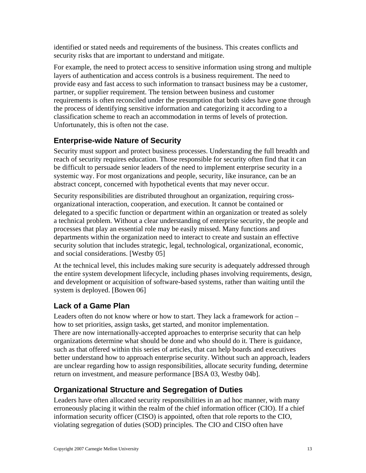<span id="page-12-0"></span>identified or stated needs and requirements of the business. This creates conflicts and security risks that are important to understand and mitigate.

For example, the need to protect access to sensitive information using strong and multiple layers of authentication and access controls is a business requirement. The need to provide easy and fast access to such information to transact business may be a customer, partner, or supplier requirement. The tension between business and customer requirements is often reconciled under the presumption that both sides have gone through the process of identifying sensitive information and categorizing it according to a classification scheme to reach an accommodation in terms of levels of protection. Unfortunately, this is often not the case.

### **Enterprise-wide Nature of Security**

Security must support and protect business processes. Understanding the full breadth and reach of security requires education. Those responsible for security often find that it can be difficult to persuade senior leaders of the need to implement enterprise security in a systemic way. For most organizations and people, security, like insurance, can be an abstract concept, concerned with hypothetical events that may never occur.

Security responsibilities are distributed throughout an organization, requiring crossorganizational interaction, cooperation, and execution. It cannot be contained or delegated to a specific function or department within an organization or treated as solely a technical problem. Without a clear understanding of enterprise security, the people and processes that play an essential role may be easily missed. Many functions and departments within the organization need to interact to create and sustain an effective security solution that includes strategic, legal, technological, organizational, economic, and social considerations. [Westby 05]

At the technical level, this includes making sure security is adequately addressed through the entire system development lifecycle, including phases involving requirements, design, and development or acquisition of software-based systems, rather than waiting until the system is deployed. [Bowen 06]

### **Lack of a Game Plan**

Leaders often do not know where or how to start. They lack a framework for action – how to set priorities, assign tasks, get started, and monitor implementation. There are now internationally-accepted approaches to enterprise security that can help organizations determine what should be done and who should do it. There is guidance, such as that offered within this series of articles, that can help boards and executives better understand how to approach enterprise security. Without such an approach, leaders are unclear regarding how to assign responsibilities, allocate security funding, determine return on investment, and measure performance [BSA 03, Westby 04b].

### **Organizational Structure and Segregation of Duties**

Leaders have often allocated security responsibilities in an ad hoc manner, with many erroneously placing it within the realm of the chief information officer (CIO). If a chief information security officer (CISO) is appointed, often that role reports to the CIO, violating segregation of duties (SOD) principles. The CIO and CISO often have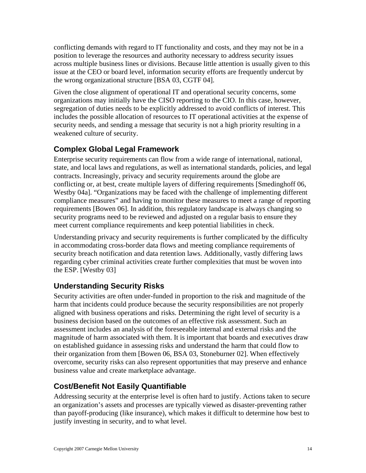<span id="page-13-0"></span>conflicting demands with regard to IT functionality and costs, and they may not be in a position to leverage the resources and authority necessary to address security issues across multiple business lines or divisions. Because little attention is usually given to this issue at the CEO or board level, information security efforts are frequently undercut by the wrong organizational structure [BSA 03, CGTF 04].

Given the close alignment of operational IT and operational security concerns, some organizations may initially have the CISO reporting to the CIO. In this case, however, segregation of duties needs to be explicitly addressed to avoid conflicts of interest. This includes the possible allocation of resources to IT operational activities at the expense of security needs, and sending a message that security is not a high priority resulting in a weakened culture of security.

### **Complex Global Legal Framework**

Enterprise security requirements can flow from a wide range of international, national, state, and local laws and regulations, as well as international standards, policies, and legal contracts. Increasingly, privacy and security requirements around the globe are conflicting or, at best, create multiple layers of differing requirements [Smedinghoff 06, Westby 04a]. "Organizations may be faced with the challenge of implementing different compliance measures" and having to monitor these measures to meet a range of reporting requirements [Bowen 06]. In addition, this regulatory landscape is always changing so security programs need to be reviewed and adjusted on a regular basis to ensure they meet current compliance requirements and keep potential liabilities in check.

Understanding privacy and security requirements is further complicated by the difficulty in accommodating cross-border data flows and meeting compliance requirements of security breach notification and data retention laws. Additionally, vastly differing laws regarding cyber criminal activities create further complexities that must be woven into the ESP. [Westby 03]

### **Understanding Security Risks**

Security activities are often under-funded in proportion to the risk and magnitude of the harm that incidents could produce because the security responsibilities are not properly aligned with business operations and risks. Determining the right level of security is a business decision based on the outcomes of an effective risk assessment. Such an assessment includes an analysis of the foreseeable internal and external risks and the magnitude of harm associated with them. It is important that boards and executives draw on established guidance in assessing risks and understand the harm that could flow to their organization from them [Bowen 06, BSA 03, Stoneburner 02]. When effectively overcome, security risks can also represent opportunities that may preserve and enhance business value and create marketplace advantage.

### **Cost/Benefit Not Easily Quantifiable**

Addressing security at the enterprise level is often hard to justify. Actions taken to secure an organization's assets and processes are typically viewed as disaster-preventing rather than payoff-producing (like insurance), which makes it difficult to determine how best to justify investing in security, and to what level.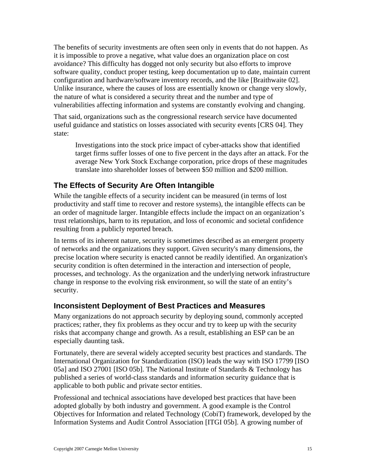<span id="page-14-0"></span>The benefits of security investments are often seen only in events that do not happen. As it is impossible to prove a negative, what value does an organization place on cost avoidance? This difficulty has dogged not only security but also efforts to improve software quality, conduct proper testing, keep documentation up to date, maintain current configuration and hardware/software inventory records, and the like [Braithwaite 02]. Unlike insurance, where the causes of loss are essentially known or change very slowly, the nature of what is considered a security threat and the number and type of vulnerabilities affecting information and systems are constantly evolving and changing.

That said, organizations such as the congressional research service have documented useful guidance and statistics on losses associated with security events [CRS 04]. They state:

Investigations into the stock price impact of cyber-attacks show that identified target firms suffer losses of one to five percent in the days after an attack. For the average New York Stock Exchange corporation, price drops of these magnitudes translate into shareholder losses of between \$50 million and \$200 million.

### **The Effects of Security Are Often Intangible**

While the tangible effects of a security incident can be measured (in terms of lost productivity and staff time to recover and restore systems), the intangible effects can be an order of magnitude larger. Intangible effects include the impact on an organization's trust relationships, harm to its reputation, and loss of economic and societal confidence resulting from a publicly reported breach.

In terms of its inherent nature, security is sometimes described as an emergent property of networks and the organizations they support. Given security's many dimensions, the precise location where security is enacted cannot be readily identified. An organization's security condition is often determined in the interaction and intersection of people, processes, and technology. As the organization and the underlying network infrastructure change in response to the evolving risk environment, so will the state of an entity's security.

#### **Inconsistent Deployment of Best Practices and Measures**

Many organizations do not approach security by deploying sound, commonly accepted practices; rather, they fix problems as they occur and try to keep up with the security risks that accompany change and growth. As a result, establishing an ESP can be an especially daunting task.

Fortunately, there are several widely accepted security best practices and standards. The International Organization for Standardization (ISO) leads the way with ISO 17799 [ISO 05a] and ISO 27001 [ISO 05b]. The National Institute of Standards & Technology has published a series of world-class standards and information security guidance that is applicable to both public and private sector entities.

Professional and technical associations have developed best practices that have been adopted globally by both industry and government. A good example is the Control Objectives for Information and related Technology (CobiT) framework, developed by the Information Systems and Audit Control Association [ITGI 05b]. A growing number of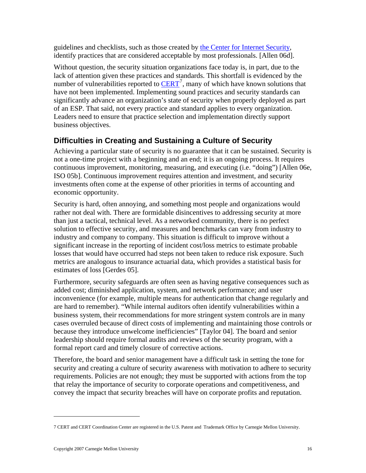<span id="page-15-0"></span>guidelines and checklists, such as those created by [the Center for Internet Security,](http://www.cisecurity.org/) identify practices that are considered acceptable by most professionals. [Allen 06d].

Without question, the security situation organizations face today is, in part, due to the lack of attention given these practices and standards. This shortfall is evidenced by the number of vulnerabilities reported to  $\overline{\text{CERT}}^7$  $\overline{\text{CERT}}^7$  $\overline{\text{CERT}}^7$  $\overline{\text{CERT}}^7$ , many of which have known solutions that have not been implemented. Implementing sound practices and security standards can significantly advance an organization's state of security when properly deployed as part of an ESP. That said, not every practice and standard applies to every organization. Leaders need to ensure that practice selection and implementation directly support business objectives.

### **Difficulties in Creating and Sustaining a Culture of Security**

Achieving a particular state of security is no guarantee that it can be sustained. Security is not a one-time project with a beginning and an end; it is an ongoing process. It requires continuous improvement, monitoring, measuring, and executing (i.e. "doing") [Allen 06e, ISO 05b]. Continuous improvement requires attention and investment, and security investments often come at the expense of other priorities in terms of accounting and economic opportunity.

Security is hard, often annoying, and something most people and organizations would rather not deal with. There are formidable disincentives to addressing security at more than just a tactical, technical level. As a networked community, there is no perfect solution to effective security, and measures and benchmarks can vary from industry to industry and company to company. This situation is difficult to improve without a significant increase in the reporting of incident cost/loss metrics to estimate probable losses that would have occurred had steps not been taken to reduce risk exposure. Such metrics are analogous to insurance actuarial data, which provides a statistical basis for estimates of loss [Gerdes 05].

Furthermore, security safeguards are often seen as having negative consequences such as added cost; diminished application, system, and network performance; and user inconvenience (for example, multiple means for authentication that change regularly and are hard to remember). "While internal auditors often identify vulnerabilities within a business system, their recommendations for more stringent system controls are in many cases overruled because of direct costs of implementing and maintaining those controls or because they introduce unwelcome inefficiencies" [Taylor 04]. The board and senior leadership should require formal audits and reviews of the security program, with a formal report card and timely closure of corrective actions.

Therefore, the board and senior management have a difficult task in setting the tone for security and creating a culture of security awareness with motivation to adhere to security requirements. Policies are not enough; they must be supported with actions from the top that relay the importance of security to corporate operations and competitiveness, and convey the impact that security breaches will have on corporate profits and reputation.

<span id="page-15-1"></span><sup>7</sup> CERT and CERT Coordination Center are registered in the U.S. Patent and Trademark Office by Carnegie Mellon University.